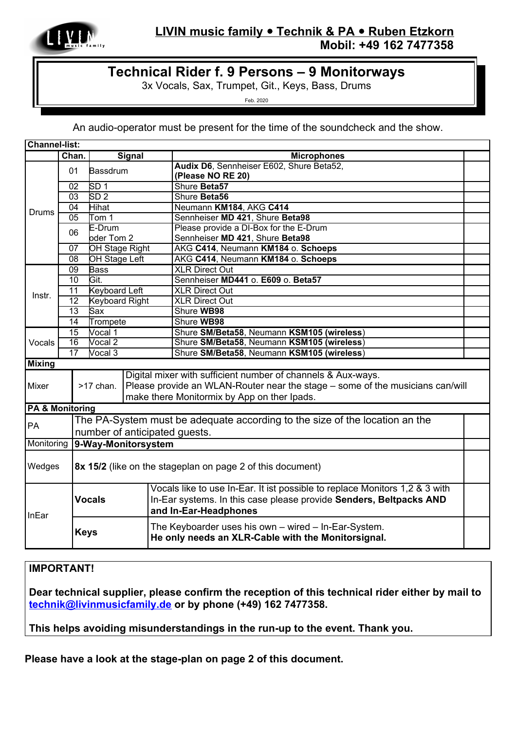

## **L IVIN music family Technik & PA Ruben Etzkorn Mobil: +49 162 7477358**

## **Technical Rider f. 9 Persons – 9 Monitorways**

3x Vocals, Sax, Trumpet, Git., Keys, Bass, Drums

Feb. 2020

An audio-operator must be present for the time of the soundcheck and the show.

| <b>Channel-list:</b>              |                 |                                                            |                                                                             |                                                                               |  |
|-----------------------------------|-----------------|------------------------------------------------------------|-----------------------------------------------------------------------------|-------------------------------------------------------------------------------|--|
|                                   | Chan.           |                                                            | <b>Signal</b>                                                               | <b>Microphones</b>                                                            |  |
| <b>Drums</b>                      | 01              | Bassdrum                                                   |                                                                             | Audix D6, Sennheiser E602, Shure Beta52,                                      |  |
|                                   |                 |                                                            |                                                                             | (Please NO RE 20)                                                             |  |
|                                   | 02              | SD <sub>1</sub>                                            |                                                                             | Shure Beta57                                                                  |  |
|                                   | 03              | SD <sub>2</sub>                                            |                                                                             | Shure Beta56                                                                  |  |
|                                   | 04              | Hihat                                                      |                                                                             | Neumann KM184, AKG C414                                                       |  |
|                                   | $\overline{05}$ | Tom 1                                                      |                                                                             | Sennheiser MD 421, Shure Beta98                                               |  |
|                                   | 06              | E-Drum                                                     |                                                                             | Please provide a DI-Box for the E-Drum                                        |  |
|                                   |                 | oder Tom 2                                                 |                                                                             | Sennheiser MD 421, Shure Beta98                                               |  |
|                                   | 07              | OH Stage Right                                             |                                                                             | AKG C414, Neumann KM184 o. Schoeps                                            |  |
|                                   | 08              | OH Stage Left                                              |                                                                             | AKG C414, Neumann KM184 o. Schoeps                                            |  |
| Instr.                            | 09              | <b>Bass</b>                                                |                                                                             | <b>XLR Direct Out</b>                                                         |  |
|                                   | 10              | Git.                                                       |                                                                             | Sennheiser MD441 o. E609 o. Beta57                                            |  |
|                                   | 11              | <b>Keyboard Left</b>                                       |                                                                             | <b>XLR Direct Out</b>                                                         |  |
|                                   | 12              | <b>Keyboard Right</b>                                      |                                                                             | <b>XLR Direct Out</b>                                                         |  |
|                                   | $\overline{13}$ | Sax                                                        |                                                                             | Shure WB98                                                                    |  |
|                                   | 14              | Trompete                                                   |                                                                             | Shure WB98                                                                    |  |
| Vocals                            | 15              | Vocal 1                                                    |                                                                             | Shure SM/Beta58, Neumann KSM105 (wireless)                                    |  |
|                                   | 16              | Vocal 2                                                    |                                                                             | Shure SM/Beta58, Neumann KSM105 (wireless)                                    |  |
|                                   | 17<br>Vocal 3   |                                                            |                                                                             | Shure SM/Beta58, Neumann KSM105 (wireless)                                    |  |
| <b>Mixing</b>                     |                 |                                                            |                                                                             |                                                                               |  |
|                                   |                 |                                                            |                                                                             | Digital mixer with sufficient number of channels & Aux-ways.                  |  |
| Mixer                             |                 | >17 chan.                                                  |                                                                             | Please provide an WLAN-Router near the stage – some of the musicians can/will |  |
|                                   |                 |                                                            |                                                                             | make there Monitormix by App on ther Ipads.                                   |  |
| <b>PA &amp; Monitoring</b>        |                 |                                                            |                                                                             |                                                                               |  |
|                                   |                 |                                                            | The PA-System must be adequate according to the size of the location an the |                                                                               |  |
| PA                                |                 |                                                            |                                                                             |                                                                               |  |
|                                   |                 | number of anticipated guests.                              |                                                                             |                                                                               |  |
| 9-Way-Monitorsystem<br>Monitoring |                 |                                                            |                                                                             |                                                                               |  |
|                                   |                 |                                                            |                                                                             |                                                                               |  |
| Wedges                            |                 | 8x 15/2 (like on the stageplan on page 2 of this document) |                                                                             |                                                                               |  |
|                                   |                 | <b>Vocals</b>                                              |                                                                             | Vocals like to use In-Ear. It ist possible to replace Monitors 1,2 & 3 with   |  |
|                                   |                 |                                                            |                                                                             | In-Ear systems. In this case please provide Senders, Beltpacks AND            |  |
| InEar                             |                 |                                                            |                                                                             | and In-Ear-Headphones                                                         |  |
|                                   |                 | <b>Keys</b>                                                |                                                                             | The Keyboarder uses his own - wired - In-Ear-System.                          |  |
|                                   |                 |                                                            |                                                                             | He only needs an XLR-Cable with the Monitorsignal.                            |  |
|                                   |                 |                                                            |                                                                             |                                                                               |  |

## **IMPORTANT!**

**Dear technical supplier, please confirm the reception of this technical rider either by mail to [technik@livinmusicfamily.de](mailto:technik@livinmusicfamily.de) or by phone (+49) 162 7477358.**

**This helps avoiding misunderstandings in the run-up to the event. Thank you.**

**Please have a look at the stage-plan on page 2 of this document.**